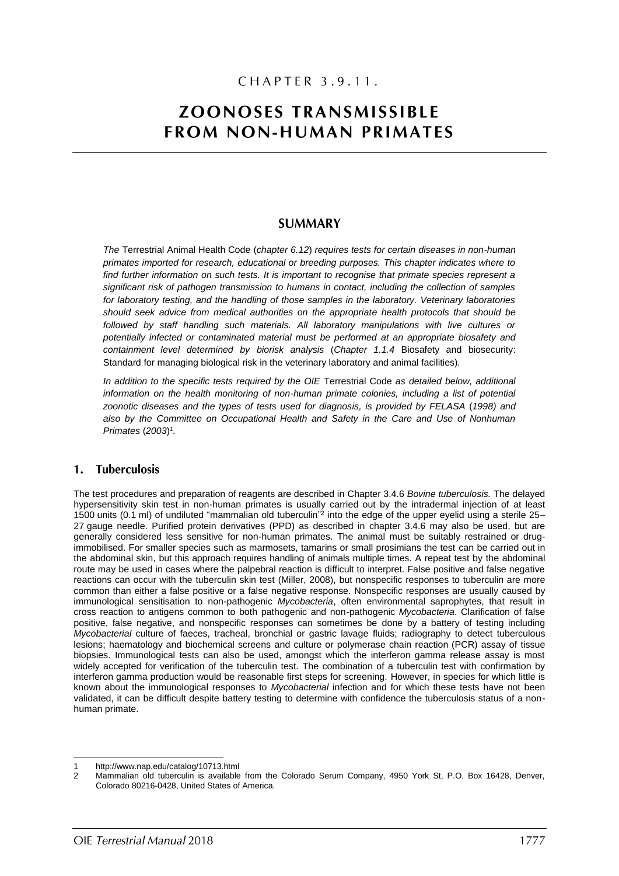## CHAPTER 3.9.11.

# **ZOONOSES TRANSMISSIBLE FROM NON-HUMAN PRIMATES**

### **SUMMARY**

*The* Terrestrial Animal Health Code (*chapter 6.12*) *requires tests for certain diseases in non-human primates imported for research, educational or breeding purposes. This chapter indicates where to find further information on such tests. It is important to recognise that primate species represent a significant risk of pathogen transmission to humans in contact, including the collection of samples for laboratory testing, and the handling of those samples in the laboratory. Veterinary laboratories should seek advice from medical authorities on the appropriate health protocols that should be*  followed by staff handling such materials. All laboratory manipulations with live cultures or *potentially infected or contaminated material must be performed at an appropriate biosafety and containment level determined by biorisk analysis* (*Chapter 1.1.4* Biosafety and biosecurity: Standard for managing biological risk in the veterinary laboratory and animal facilities)*.* 

*In addition to the specific tests required by the OIE* Terrestrial Code *as detailed below, additional information on the health monitoring of non-human primate colonies, including a list of potential zoonotic diseases and the types of tests used for diagnosis, is provided by FELASA* (*1998) and also by the Committee on Occupational Health and Safety in the Care and Use of Nonhuman Primates* (*2003*) *1 .*

#### **Tuberculosis**  $\mathbf{1}$ .

The test procedures and preparation of reagents are described in Chapter 3.4.6 *Bovine tuberculosis.* The delayed hypersensitivity skin test in non-human primates is usually carried out by the intradermal injection of at least 1500 units (0.1 ml) of undiluted "mammalian old tuberculin"<sup>2</sup> into the edge of the upper eyelid using a sterile 25-27 gauge needle. Purified protein derivatives (PPD) as described in chapter 3.4.6 may also be used, but are generally considered less sensitive for non-human primates. The animal must be suitably restrained or drugimmobilised. For smaller species such as marmosets, tamarins or small prosimians the test can be carried out in the abdominal skin, but this approach requires handling of animals multiple times. A repeat test by the abdominal route may be used in cases where the palpebral reaction is difficult to interpret. False positive and false negative reactions can occur with the tuberculin skin test (Miller, 2008), but nonspecific responses to tuberculin are more common than either a false positive or a false negative response. Nonspecific responses are usually caused by immunological sensitisation to non-pathogenic *Mycobacteria*, often environmental saprophytes, that result in cross reaction to antigens common to both pathogenic and non-pathogenic *Mycobacteria*. Clarification of false positive, false negative, and nonspecific responses can sometimes be done by a battery of testing including *Mycobacterial* culture of faeces, tracheal, bronchial or gastric lavage fluids; radiography to detect tuberculous lesions; haematology and biochemical screens and culture or polymerase chain reaction (PCR) assay of tissue biopsies. Immunological tests can also be used, amongst which the interferon gamma release assay is most widely accepted for verification of the tuberculin test. The combination of a tuberculin test with confirmation by interferon gamma production would be reasonable first steps for screening. However, in species for which little is known about the immunological responses to *Mycobacterial* infection and for which these tests have not been validated, it can be difficult despite battery testing to determine with confidence the tuberculosis status of a nonhuman primate.

 $\overline{a}$ 

<sup>1</sup> http://www.nap.edu/catalog/10713.html

<sup>2</sup> Mammalian old tuberculin is available from the Colorado Serum Company, 4950 York St, P.O. Box 16428, Denver, Colorado 80216-0428, United States of America.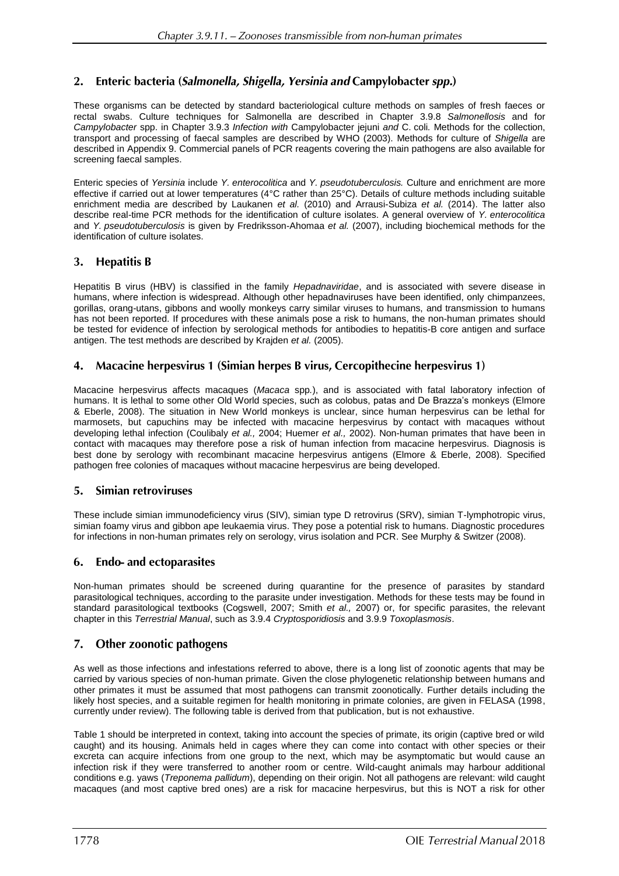### Enteric bacteria (Salmonella, Shigella, Yersinia and Campylobacter spp.)  $2.$

These organisms can be detected by standard bacteriological culture methods on samples of fresh faeces or rectal swabs. Culture techniques for Salmonella are described in Chapter 3.9.8 *Salmonellosis* and for *Campylobacter* spp. in Chapter 3.9.3 *Infection with* Campylobacter jejuni *and* C. coli*.* Methods for the collection, transport and processing of faecal samples are described by WHO (2003). Methods for culture of *Shigella* are described in Appendix 9. Commercial panels of PCR reagents covering the main pathogens are also available for screening faecal samples.

Enteric species of *Yersinia* include *Y. enterocolitica* and *Y. pseudotuberculosis.* Culture and enrichment are more effective if carried out at lower temperatures (4°C rather than 25°C). Details of culture methods including suitable enrichment media are described by Laukanen *et al.* (2010) and Arrausi-Subiza *et al.* (2014). The latter also describe real-time PCR methods for the identification of culture isolates. A general overview of *Y. enterocolitica*  and *Y. pseudotuberculosis* is given by Fredriksson-Ahomaa *et al.* (2007), including biochemical methods for the identification of culture isolates.

#### **Hepatitis B** 3.

Hepatitis B virus (HBV) is classified in the family *Hepadnaviridae*, and is associated with severe disease in humans, where infection is widespread. Although other hepadnaviruses have been identified, only chimpanzees, gorillas, orang-utans, gibbons and woolly monkeys carry similar viruses to humans, and transmission to humans has not been reported. If procedures with these animals pose a risk to humans, the non-human primates should be tested for evidence of infection by serological methods for antibodies to hepatitis-B core antigen and surface antigen. The test methods are described by Krajden *et al.* (2005).

### 4. Macacine herpesvirus 1 (Simian herpes B virus, Cercopithecine herpesvirus 1)

Macacine herpesvirus affects macaques (*Macaca* spp*.*), and is associated with fatal laboratory infection of humans. It is lethal to some other Old World species, such as colobus, patas and De Brazza's monkeys (Elmore & Eberle, 2008). The situation in New World monkeys is unclear, since human herpesvirus can be lethal for marmosets, but capuchins may be infected with macacine herpesvirus by contact with macaques without developing lethal infection (Coulibaly *et al.,* 2004; Huemer *et al.,* 2002). Non-human primates that have been in contact with macaques may therefore pose a risk of human infection from macacine herpesvirus. Diagnosis is best done by serology with recombinant macacine herpesvirus antigens (Elmore & Eberle, 2008). Specified pathogen free colonies of macaques without macacine herpesvirus are being developed.

### 5. Simian retroviruses

These include simian immunodeficiency virus (SIV), simian type D retrovirus (SRV), simian T-lymphotropic virus, simian foamy virus and gibbon ape leukaemia virus. They pose a potential risk to humans. Diagnostic procedures for infections in non-human primates rely on serology, virus isolation and PCR. See Murphy & Switzer (2008).

### 6. **Endo-** and ectoparasites

Non-human primates should be screened during quarantine for the presence of parasites by standard parasitological techniques, according to the parasite under investigation. Methods for these tests may be found in standard parasitological textbooks (Cogswell, 2007; Smith *et al.,* 2007) or, for specific parasites, the relevant chapter in this *Terrestrial Manual*, such as 3.9.4 *Cryptosporidiosis* and 3.9.9 *Toxoplasmosis*.

### 7. Other zoonotic pathogens

As well as those infections and infestations referred to above, there is a long list of zoonotic agents that may be carried by various species of non-human primate. Given the close phylogenetic relationship between humans and other primates it must be assumed that most pathogens can transmit zoonotically. Further details including the likely host species, and a suitable regimen for health monitoring in primate colonies, are given in FELASA (1998, currently under review). The following table is derived from that publication, but is not exhaustive.

Table 1 should be interpreted in context, taking into account the species of primate, its origin (captive bred or wild caught) and its housing. Animals held in cages where they can come into contact with other species or their excreta can acquire infections from one group to the next, which may be asymptomatic but would cause an infection risk if they were transferred to another room or centre. Wild-caught animals may harbour additional conditions e.g. yaws (*Treponema pallidum*), depending on their origin. Not all pathogens are relevant: wild caught macaques (and most captive bred ones) are a risk for macacine herpesvirus, but this is NOT a risk for other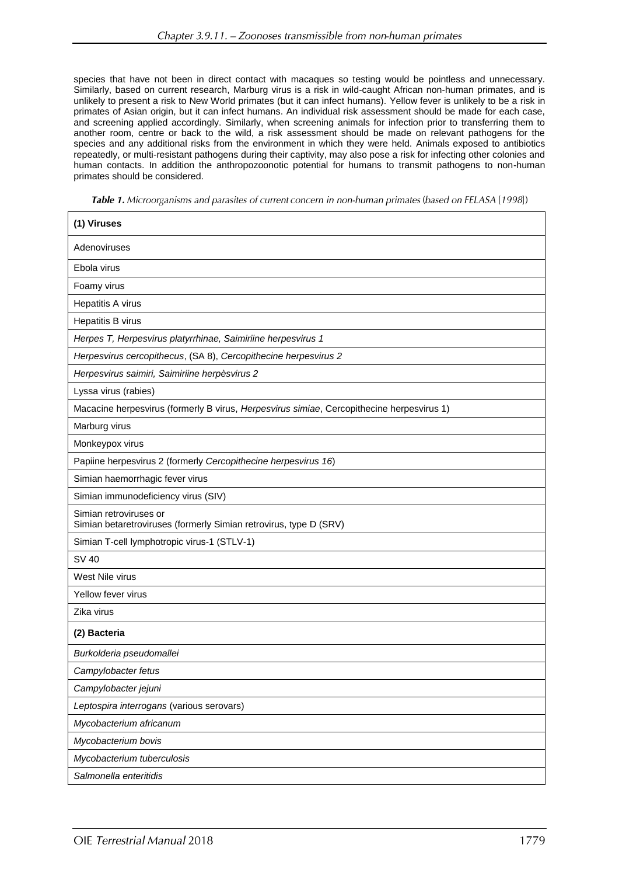species that have not been in direct contact with macaques so testing would be pointless and unnecessary. Similarly, based on current research, Marburg virus is a risk in wild-caught African non-human primates, and is unlikely to present a risk to New World primates (but it can infect humans). Yellow fever is unlikely to be a risk in primates of Asian origin, but it can infect humans. An individual risk assessment should be made for each case, and screening applied accordingly. Similarly, when screening animals for infection prior to transferring them to another room, centre or back to the wild, a risk assessment should be made on relevant pathogens for the species and any additional risks from the environment in which they were held. Animals exposed to antibiotics repeatedly, or multi-resistant pathogens during their captivity, may also pose a risk for infecting other colonies and human contacts. In addition the anthropozoonotic potential for humans to transmit pathogens to non-human primates should be considered.

Table 1. Microorganisms and parasites of current concern in non-human primates (based on FELASA [1998])

| (1) Viruses                                                                                 |
|---------------------------------------------------------------------------------------------|
| Adenoviruses                                                                                |
| Ebola virus                                                                                 |
| Foamy virus                                                                                 |
| Hepatitis A virus                                                                           |
| Hepatitis B virus                                                                           |
| Herpes T, Herpesvirus platyrrhinae, Saimiriine herpesvirus 1                                |
| Herpesvirus cercopithecus, (SA 8), Cercopithecine herpesvirus 2                             |
| Herpesvirus saimiri, Saimiriine herpèsvirus 2                                               |
| Lyssa virus (rabies)                                                                        |
| Macacine herpesvirus (formerly B virus, Herpesvirus simiae, Cercopithecine herpesvirus 1)   |
| Marburg virus                                                                               |
| Monkeypox virus                                                                             |
| Papiine herpesvirus 2 (formerly Cercopithecine herpesvirus 16)                              |
| Simian haemorrhagic fever virus                                                             |
| Simian immunodeficiency virus (SIV)                                                         |
| Simian retroviruses or<br>Simian betaretroviruses (formerly Simian retrovirus, type D (SRV) |
| Simian T-cell lymphotropic virus-1 (STLV-1)                                                 |
| <b>SV 40</b>                                                                                |
| West Nile virus                                                                             |
| Yellow fever virus                                                                          |
| Zika virus                                                                                  |
| (2) Bacteria                                                                                |
| Burkolderia pseudomallei                                                                    |
| Campylobacter fetus                                                                         |
| Campylobacter jejuni                                                                        |
| Leptospira interrogans (various serovars)                                                   |
| Mycobacterium africanum                                                                     |
| Mycobacterium bovis                                                                         |
| Mycobacterium tuberculosis                                                                  |
| Salmonella enteritidis                                                                      |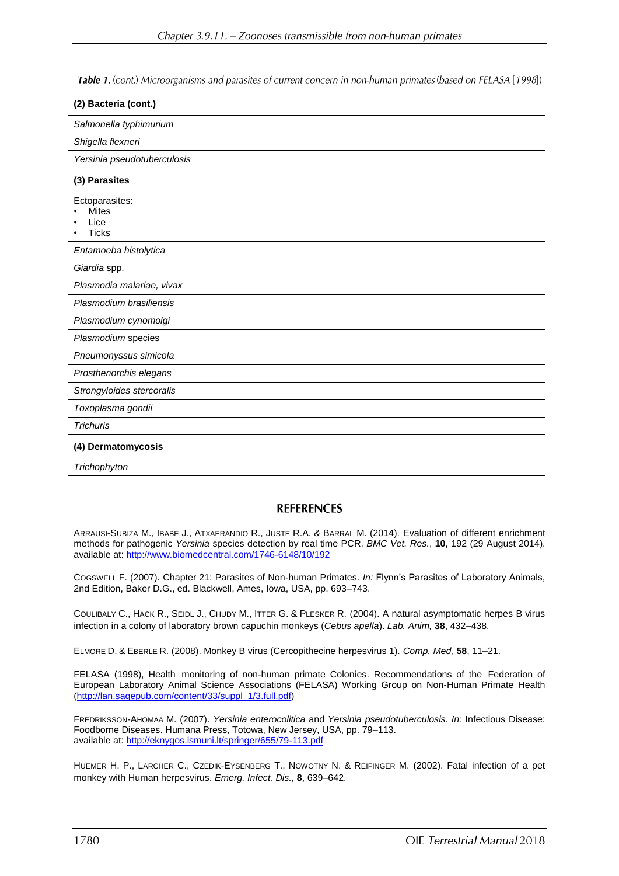Table 1. (cont.) Microorganisms and parasites of current concern in non-human primates (based on FELASA [1998])

| (2) Bacteria (cont.)                                   |
|--------------------------------------------------------|
| Salmonella typhimurium                                 |
| Shigella flexneri                                      |
| Yersinia pseudotuberculosis                            |
| (3) Parasites                                          |
| Ectoparasites:<br><b>Mites</b><br>Lice<br><b>Ticks</b> |
| Entamoeba histolytica                                  |
| Giardia spp.                                           |
| Plasmodia malariae, vivax                              |
| Plasmodium brasiliensis                                |
| Plasmodium cynomolgi                                   |
| Plasmodium species                                     |
| Pneumonyssus simicola                                  |
| Prosthenorchis elegans                                 |
| Strongyloides stercoralis                              |
| Toxoplasma gondii                                      |
| <b>Trichuris</b>                                       |
| (4) Dermatomycosis                                     |
| Trichophyton                                           |

### **REFERENCES**

ARRAUSI-SUBIZA M., IBABE J., ATXAERANDIO R., JUSTE R.A. & BARRAL M. (2014). Evaluation of different [enrichment](http://www.biomedcentral.com/1746-6148/10/192) methods for [pathogenic](http://www.biomedcentral.com/1746-6148/10/192) *Yersinia* species detection by real time PCR. *BMC Vet. Res.*, **10**, 192 (29 August 2014). available at: <http://www.biomedcentral.com/1746-6148/10/192>

COGSWELL F. (2007). Chapter 21: Parasites of Non-human Primates. *In:* Flynn's Parasites of Laboratory Animals, 2nd Edition, Baker D.G., ed. Blackwell, Ames, Iowa, USA, pp. 693–743.

COULIBALY C., HACK R., SEIDL J., CHUDY M., ITTER G. & PLESKER R. (2004). A natural asymptomatic herpes B virus infection in a colony of laboratory brown capuchin monkeys (*Cebus apella*). *Lab. Anim,* **38**, 432–438.

ELMORE D. & EBERLE R. (2008). Monkey B virus (Cercopithecine herpesvirus 1). *Comp. Med,* **58**, 11–21.

FELASA (1998), Health monitoring of non-human primate Colonies. Recommendations of the Federation of European Laboratory Animal Science Associations (FELASA) Working Group on Non-Human Primate Health [\(http://lan.sagepub.com/content/33/suppl\\_1/3.full.pdf\)](http://lan.sagepub.com/content/33/suppl_1/3.full.pdf)

FREDRIKSSON-AHOMAA M. (2007). *Yersinia enterocolitica* and *Yersinia pseudotuberculosis. In:* Infectious Disease: Foodborne Diseases. Humana Press, Totowa, New Jersey, USA, pp. 79–113. available at:<http://eknygos.lsmuni.lt/springer/655/79-113.pdf>

HUEMER H. P., LARCHER C., CZEDIK-EYSENBERG T., NOWOTNY N. & REIFINGER M. (2002). Fatal infection of a pet monkey with Human herpesvirus. *Emerg. Infect. Dis.,* **8**, 639–642.